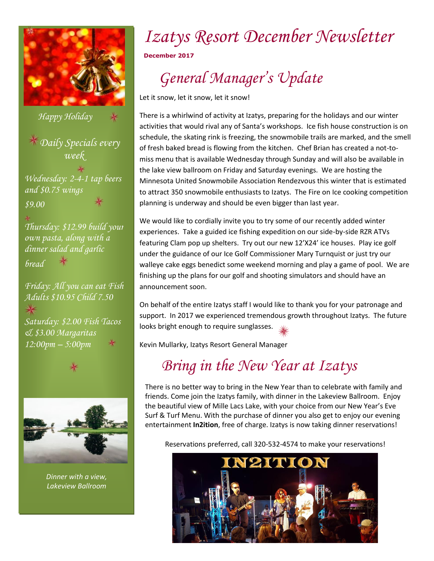

*Daily Specials every week Wednesday: 2-4-1 tap beers and \$0.75 wings \$9.00 Thursday: \$12.99 build your own pasta, along with a dinner salad and garlic bread Friday: All you can eat Fish Adults \$10.95 Child 7.50 Saturday: \$2.00 Fish Tacos & \$3.00 Margaritas Happy Holiday*



*12:00pm – 5:00pm* 

*Dinner with a view, Lakeview Ballroom*

# *Izatys Resort December Newsletter*

**December 2017**

## *General Manager's Update*

Let it snow, let it snow, let it snow!

There is a whirlwind of activity at Izatys, preparing for the holidays and our winter activities that would rival any of Santa's workshops. Ice fish house construction is on schedule, the skating rink is freezing, the snowmobile trails are marked, and the smell of fresh baked bread is flowing from the kitchen. Chef Brian has created a not-tomiss menu that is available Wednesday through Sunday and will also be available in the lake view ballroom on Friday and Saturday evenings. We are hosting the Minnesota United Snowmobile Association Rendezvous this winter that is estimated to attract 350 snowmobile enthusiasts to Izatys. The Fire on Ice cooking competition planning is underway and should be even bigger than last year.

We would like to cordially invite you to try some of our recently added winter experiences. Take a guided ice fishing expedition on our side-by-side RZR ATVs featuring Clam pop up shelters. Try out our new 12'X24' ice houses. Play ice golf under the guidance of our Ice Golf Commissioner Mary Turnquist or just try our walleye cake eggs benedict some weekend morning and play a game of pool. We are finishing up the plans for our golf and shooting simulators and should have an announcement soon.

On behalf of the entire Izatys staff I would like to thank you for your patronage and support. In 2017 we experienced tremendous growth throughout Izatys. The future looks bright enough to require sunglasses.

Kevin Mullarky, Izatys Resort General Manager

### *Bring in the New Year at Izatys*

There is no better way to bring in the New Year than to celebrate with family and friends. Come join the Izatys family, with dinner in the Lakeview Ballroom. Enjoy the beautiful view of Mille Lacs Lake, with your choice from our New Year's Eve Surf & Turf Menu. With the purchase of dinner you also get to enjoy our evening entertainment **In2ition**, free of charge. Izatys is now taking dinner reservations!

Reservations preferred, call 320-532-4574 to make your reservations!

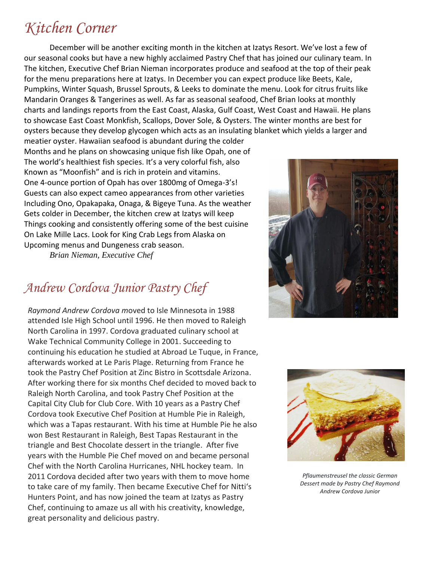### *Kitchen Corner*

December will be another exciting month in the kitchen at Izatys Resort. We've lost a few of our seasonal cooks but have a new highly acclaimed Pastry Chef that has joined our culinary team. In The kitchen, Executive Chef Brian Nieman incorporates produce and seafood at the top of their peak for the menu preparations here at Izatys. In December you can expect produce like Beets, Kale, Pumpkins, Winter Squash, Brussel Sprouts, & Leeks to dominate the menu. Look for citrus fruits like Mandarin Oranges & Tangerines as well. As far as seasonal seafood, Chef Brian looks at monthly charts and landings reports from the East Coast, Alaska, Gulf Coast, West Coast and Hawaii. He plans to showcase East Coast Monkfish, Scallops, Dover Sole, & Oysters. The winter months are best for oysters because they develop glycogen which acts as an insulating blanket which yields a larger and

meatier oyster. Hawaiian seafood is abundant during the colder Months and he plans on showcasing unique fish like Opah, one of The world's healthiest fish species. It's a very colorful fish, also Known as "Moonfish" and is rich in protein and vitamins. One 4-ounce portion of Opah has over 1800mg of Omega-3's! Guests can also expect cameo appearances from other varieties Including Ono, Opakapaka, Onaga, & Bigeye Tuna. As the weather Gets colder in December, the kitchen crew at Izatys will keep Things cooking and consistently offering some of the best cuisine On Lake Mille Lacs. Look for King Crab Legs from Alaska on Upcoming menus and Dungeness crab season.

*Brian Nieman, Executive Chef* 

#### *Andrew Cordova Junior Pastry Chef*

*Raymond Andrew Cordova m*oved to Isle Minnesota in 1988 attended Isle High School until 1996. He then moved to Raleigh North Carolina in 1997. Cordova graduated culinary school at Wake Technical Community College in 2001. Succeeding to continuing his education he studied at Abroad Le Tuque, in France, afterwards worked at Le Paris Plage. Returning from France he took the Pastry Chef Position at Zinc Bistro in Scottsdale Arizona. After working there for six months Chef decided to moved back to Raleigh North Carolina, and took Pastry Chef Position at the Capital City Club for Club Core. With 10 years as a Pastry Chef Cordova took Executive Chef Position at Humble Pie in Raleigh, which was a Tapas restaurant. With his time at Humble Pie he also won Best Restaurant in Raleigh, Best Tapas Restaurant in the triangle and Best Chocolate dessert in the triangle. After five years with the Humble Pie Chef moved on and became personal Chef with the North Carolina Hurricanes, NHL hockey team. In 2011 Cordova decided after two years with them to move home to take care of my family. Then became Executive Chef for Nitti's Hunters Point, and has now joined the team at Izatys as Pastry Chef, continuing to amaze us all with his creativity, knowledge, great personality and delicious pastry.





*Pflaumenstreusel the classic German Dessert made by Pastry Chef Raymond Andrew Cordova Junior*